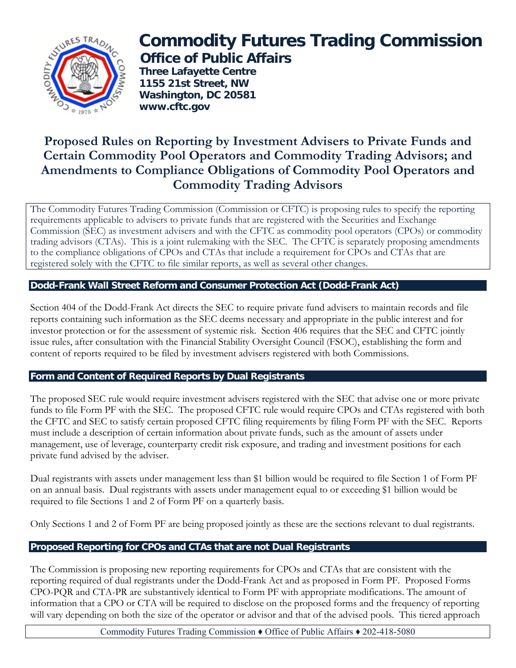

# **Commodity Futures Trading Commission Office of Public Affairs**

 **Three Lafayette Centre 1155 21st Street, NW Washington, DC 20581 www.cftc.gov**

## **Proposed Rules on Reporting by Investment Advisers to Private Funds and Certain Commodity Pool Operators and Commodity Trading Advisors; and Amendments to Compliance Obligations of Commodity Pool Operators and Commodity Trading Advisors**

The Commodity Futures Trading Commission (Commission or CFTC) is proposing rules to specify the reporting requirements applicable to advisers to private funds that are registered with the Securities and Exchange Commission (SEC) as investment advisers and with the CFTC as commodity pool operators (CPOs) or commodity trading advisors (CTAs). This is a joint rulemaking with the SEC. The CFTC is separately proposing amendments to the compliance obligations of CPOs and CTAs that include a requirement for CPOs and CTAs that are registered solely with the CFTC to file similar reports, as well as several other changes.

#### **Dodd-Frank Wall Street Reform and Consumer Protection Act (Dodd-Frank Act)**

Section 404 of the Dodd-Frank Act directs the SEC to require private fund advisers to maintain records and file reports containing such information as the SEC deems necessary and appropriate in the public interest and for investor protection or for the assessment of systemic risk. Section 406 requires that the SEC and CFTC jointly issue rules, after consultation with the Financial Stability Oversight Council (FSOC), establishing the form and content of reports required to be filed by investment advisers registered with both Commissions.

#### **Form and Content of Required Reports by Dual Registrants**

The proposed SEC rule would require investment advisers registered with the SEC that advise one or more private funds to file Form PF with the SEC. The proposed CFTC rule would require CPOs and CTAs registered with both the CFTC and SEC to satisfy certain proposed CFTC filing requirements by filing Form PF with the SEC. Reports must include a description of certain information about private funds, such as the amount of assets under management, use of leverage, counterparty credit risk exposure, and trading and investment positions for each private fund advised by the adviser.

Dual registrants with assets under management less than \$1 billion would be required to file Section 1 of Form PF on an annual basis. Dual registrants with assets under management equal to or exceeding \$1 billion would be required to file Sections 1 and 2 of Form PF on a quarterly basis.

Only Sections 1 and 2 of Form PF are being proposed jointly as these are the sections relevant to dual registrants.

### **Proposed Reporting for CPOs and CTAs that are not Dual Registrants**

The Commission is proposing new reporting requirements for CPOs and CTAs that are consistent with the reporting required of dual registrants under the Dodd-Frank Act and as proposed in Form PF. Proposed Forms CPO-PQR and CTA-PR are substantively identical to Form PF with appropriate modifications. The amount of information that a CPO or CTA will be required to disclose on the proposed forms and the frequency of reporting will vary depending on both the size of the operator or advisor and that of the advised pools. This tiered approach

Commodity Futures Trading Commission ♦ Office of Public Affairs ♦ 202-418-5080